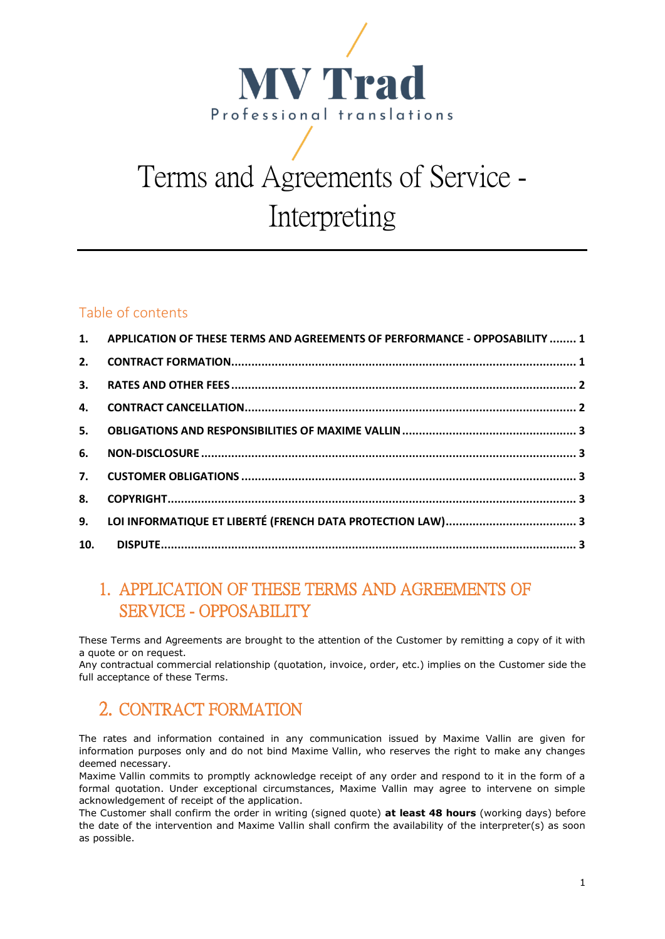

# Terms and Agreements of Service - Interpreting

## Table of contents

|    | 1. APPLICATION OF THESE TERMS AND AGREEMENTS OF PERFORMANCE - OPPOSABILITY  1 |  |
|----|-------------------------------------------------------------------------------|--|
| 2. |                                                                               |  |
|    |                                                                               |  |
|    |                                                                               |  |
|    |                                                                               |  |
|    |                                                                               |  |
|    |                                                                               |  |
| 8. |                                                                               |  |
|    |                                                                               |  |
|    |                                                                               |  |
|    |                                                                               |  |

# <span id="page-0-0"></span>1. APPLICATION OF THESE TERMS AND AGREEMENTS OF SERVICE - OPPOSABILITY

These Terms and Agreements are brought to the attention of the Customer by remitting a copy of it with a quote or on request.

Any contractual commercial relationship (quotation, invoice, order, etc.) implies on the Customer side the full acceptance of these Terms.

# <span id="page-0-1"></span>2. CONTRACT FORMATION

The rates and information contained in any communication issued by Maxime Vallin are given for information purposes only and do not bind Maxime Vallin, who reserves the right to make any changes deemed necessary.

Maxime Vallin commits to promptly acknowledge receipt of any order and respond to it in the form of a formal quotation. Under exceptional circumstances, Maxime Vallin may agree to intervene on simple acknowledgement of receipt of the application.

The Customer shall confirm the order in writing (signed quote) **at least 48 hours** (working days) before the date of the intervention and Maxime Vallin shall confirm the availability of the interpreter(s) as soon as possible.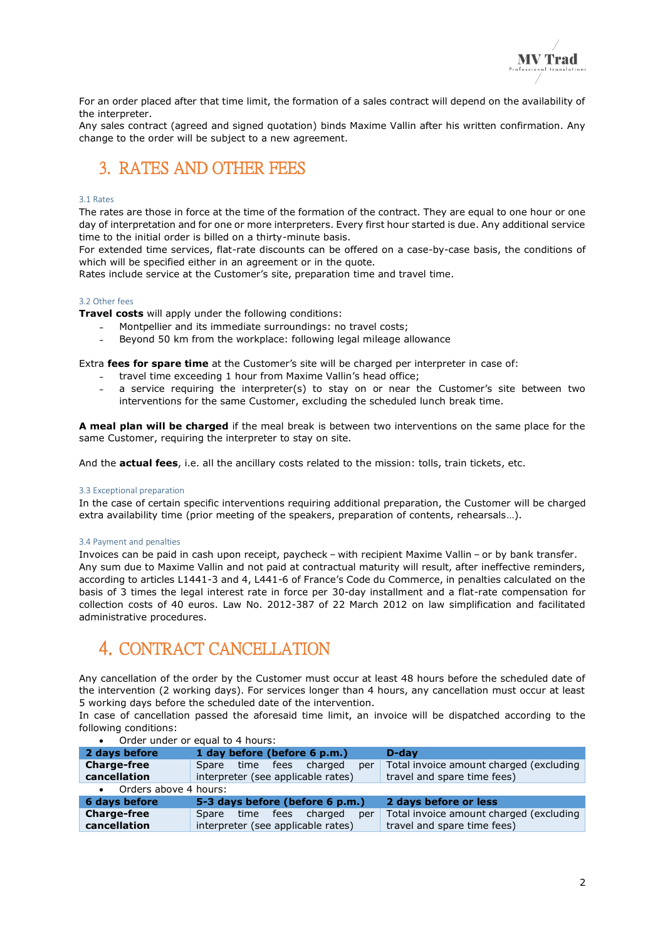For an order placed after that time limit, the formation of a sales contract will depend on the availability of the interpreter.

Any sales contract (agreed and signed quotation) binds Maxime Vallin after his written confirmation. Any change to the order will be subject to a new agreement.

## <span id="page-1-0"></span>3. RATES AND OTHER FEES

#### 3.1 Rates

The rates are those in force at the time of the formation of the contract. They are equal to one hour or one day of interpretation and for one or more interpreters. Every first hour started is due. Any additional service time to the initial order is billed on a thirty-minute basis.

For extended time services, flat-rate discounts can be offered on a case-by-case basis, the conditions of which will be specified either in an agreement or in the quote.

Rates include service at the Customer's site, preparation time and travel time.

### 3.2 Other fees

**Travel costs** will apply under the following conditions:

- Montpellier and its immediate surroundings: no travel costs;
- Beyond 50 km from the workplace: following legal mileage allowance

Extra **fees for spare time** at the Customer's site will be charged per interpreter in case of:

- travel time exceeding 1 hour from Maxime Vallin's head office;
- a service requiring the interpreter(s) to stay on or near the Customer's site between two interventions for the same Customer, excluding the scheduled lunch break time.

**A meal plan will be charged** if the meal break is between two interventions on the same place for the same Customer, requiring the interpreter to stay on site.

And the **actual fees**, i.e. all the ancillary costs related to the mission: tolls, train tickets, etc.

#### 3.3 Exceptional preparation

In the case of certain specific interventions requiring additional preparation, the Customer will be charged extra availability time (prior meeting of the speakers, preparation of contents, rehearsals…).

#### 3.4 Payment and penalties

Invoices can be paid in cash upon receipt, paycheck – with recipient Maxime Vallin – or by bank transfer. Any sum due to Maxime Vallin and not paid at contractual maturity will result, after ineffective reminders, according to articles L1441-3 and 4, L441-6 of France's Code du Commerce, in penalties calculated on the basis of 3 times the legal interest rate in force per 30-day installment and a flat-rate compensation for collection costs of 40 euros. Law No. 2012-387 of 22 March 2012 on law simplification and facilitated administrative procedures.

## <span id="page-1-1"></span>4. CONTRACT CANCELLATION

Any cancellation of the order by the Customer must occur at least 48 hours before the scheduled date of the intervention (2 working days). For services longer than 4 hours, any cancellation must occur at least 5 working days before the scheduled date of the intervention.

In case of cancellation passed the aforesaid time limit, an invoice will be dispatched according to the following conditions:

| 1 day before (before 6 p.m.)         | D-dav                                   |  |  |
|--------------------------------------|-----------------------------------------|--|--|
| charged<br>Spare time fees<br>per    | Total invoice amount charged (excluding |  |  |
| interpreter (see applicable rates)   | travel and spare time fees)             |  |  |
| • Orders above 4 hours:              |                                         |  |  |
| 5-3 days before (before 6 p.m.)      | 2 days before or less                   |  |  |
| charged<br>fees<br>Spare time<br>per | Total invoice amount charged (excluding |  |  |
| interpreter (see applicable rates)   | travel and spare time fees)             |  |  |
|                                      |                                         |  |  |

#### • Order under or equal to 4 hours: